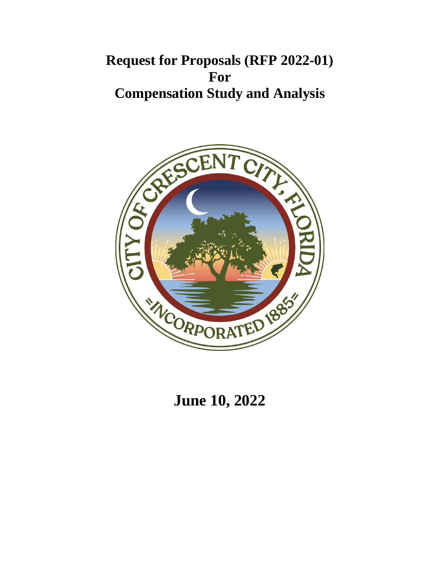# **Request for Proposals (RFP 2022-01) For Compensation Study and Analysis**



**June 10, 2022**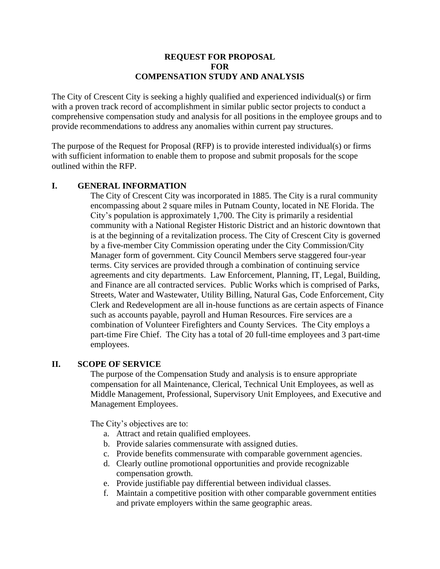### **REQUEST FOR PROPOSAL FOR COMPENSATION STUDY AND ANALYSIS**

The City of Crescent City is seeking a highly qualified and experienced individual(s) or firm with a proven track record of accomplishment in similar public sector projects to conduct a comprehensive compensation study and analysis for all positions in the employee groups and to provide recommendations to address any anomalies within current pay structures.

The purpose of the Request for Proposal (RFP) is to provide interested individual(s) or firms with sufficient information to enable them to propose and submit proposals for the scope outlined within the RFP.

## **I. GENERAL INFORMATION**

The City of Crescent City was incorporated in 1885. The City is a rural community encompassing about 2 square miles in Putnam County, located in NE Florida. The City's population is approximately 1,700. The City is primarily a residential community with a National Register Historic District and an historic downtown that is at the beginning of a revitalization process. The City of Crescent City is governed by a five-member City Commission operating under the City Commission/City Manager form of government. City Council Members serve staggered four-year terms. City services are provided through a combination of continuing service agreements and city departments. Law Enforcement, Planning, IT, Legal, Building, and Finance are all contracted services. Public Works which is comprised of Parks, Streets, Water and Wastewater, Utility Billing, Natural Gas, Code Enforcement, City Clerk and Redevelopment are all in-house functions as are certain aspects of Finance such as accounts payable, payroll and Human Resources. Fire services are a combination of Volunteer Firefighters and County Services. The City employs a part-time Fire Chief. The City has a total of 20 full-time employees and 3 part-time employees.

### **II. SCOPE OF SERVICE**

The purpose of the Compensation Study and analysis is to ensure appropriate compensation for all Maintenance, Clerical, Technical Unit Employees, as well as Middle Management, Professional, Supervisory Unit Employees, and Executive and Management Employees.

The City's objectives are to:

- a. Attract and retain qualified employees.
- b. Provide salaries commensurate with assigned duties.
- c. Provide benefits commensurate with comparable government agencies.
- d. Clearly outline promotional opportunities and provide recognizable compensation growth.
- e. Provide justifiable pay differential between individual classes.
- f. Maintain a competitive position with other comparable government entities and private employers within the same geographic areas.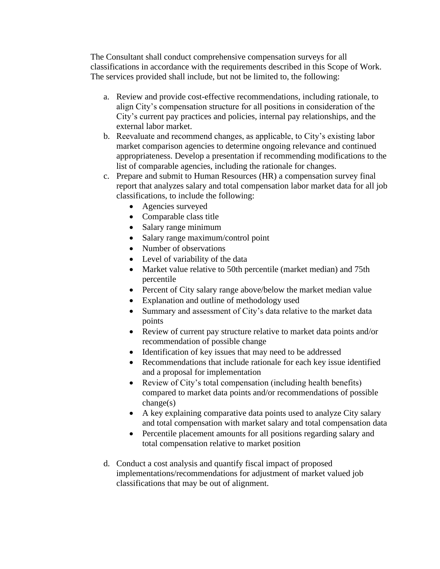The Consultant shall conduct comprehensive compensation surveys for all classifications in accordance with the requirements described in this Scope of Work. The services provided shall include, but not be limited to, the following:

- a. Review and provide cost-effective recommendations, including rationale, to align City's compensation structure for all positions in consideration of the City's current pay practices and policies, internal pay relationships, and the external labor market.
- b. Reevaluate and recommend changes, as applicable, to City's existing labor market comparison agencies to determine ongoing relevance and continued appropriateness. Develop a presentation if recommending modifications to the list of comparable agencies, including the rationale for changes.
- c. Prepare and submit to Human Resources (HR) a compensation survey final report that analyzes salary and total compensation labor market data for all job classifications, to include the following:
	- Agencies surveyed
	- Comparable class title
	- Salary range minimum
	- Salary range maximum/control point
	- Number of observations
	- Level of variability of the data
	- Market value relative to 50th percentile (market median) and 75th percentile
	- Percent of City salary range above/below the market median value
	- Explanation and outline of methodology used
	- Summary and assessment of City's data relative to the market data points
	- Review of current pay structure relative to market data points and/or recommendation of possible change
	- Identification of key issues that may need to be addressed
	- Recommendations that include rationale for each key issue identified and a proposal for implementation
	- Review of City's total compensation (including health benefits) compared to market data points and/or recommendations of possible change(s)
	- A key explaining comparative data points used to analyze City salary and total compensation with market salary and total compensation data
	- Percentile placement amounts for all positions regarding salary and total compensation relative to market position
- d. Conduct a cost analysis and quantify fiscal impact of proposed implementations/recommendations for adjustment of market valued job classifications that may be out of alignment.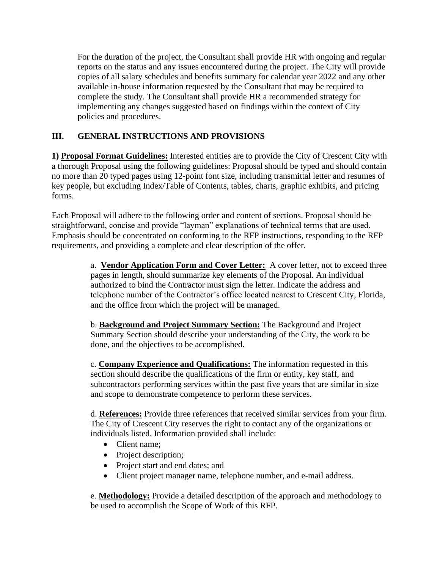For the duration of the project, the Consultant shall provide HR with ongoing and regular reports on the status and any issues encountered during the project. The City will provide copies of all salary schedules and benefits summary for calendar year 2022 and any other available in-house information requested by the Consultant that may be required to complete the study. The Consultant shall provide HR a recommended strategy for implementing any changes suggested based on findings within the context of City policies and procedures.

# **III. GENERAL INSTRUCTIONS AND PROVISIONS**

**1) Proposal Format Guidelines:** Interested entities are to provide the City of Crescent City with a thorough Proposal using the following guidelines: Proposal should be typed and should contain no more than 20 typed pages using 12-point font size, including transmittal letter and resumes of key people, but excluding Index/Table of Contents, tables, charts, graphic exhibits, and pricing forms.

Each Proposal will adhere to the following order and content of sections. Proposal should be straightforward, concise and provide "layman" explanations of technical terms that are used. Emphasis should be concentrated on conforming to the RFP instructions, responding to the RFP requirements, and providing a complete and clear description of the offer.

> a. **Vendor Application Form and Cover Letter:** A cover letter, not to exceed three pages in length, should summarize key elements of the Proposal. An individual authorized to bind the Contractor must sign the letter. Indicate the address and telephone number of the Contractor's office located nearest to Crescent City, Florida, and the office from which the project will be managed.

b. **Background and Project Summary Section:** The Background and Project Summary Section should describe your understanding of the City, the work to be done, and the objectives to be accomplished.

c. **Company Experience and Qualifications:** The information requested in this section should describe the qualifications of the firm or entity, key staff, and subcontractors performing services within the past five years that are similar in size and scope to demonstrate competence to perform these services.

d. **References:** Provide three references that received similar services from your firm. The City of Crescent City reserves the right to contact any of the organizations or individuals listed. Information provided shall include:

- Client name;
- Project description;
- Project start and end dates; and
- Client project manager name, telephone number, and e-mail address.

e. **Methodology:** Provide a detailed description of the approach and methodology to be used to accomplish the Scope of Work of this RFP.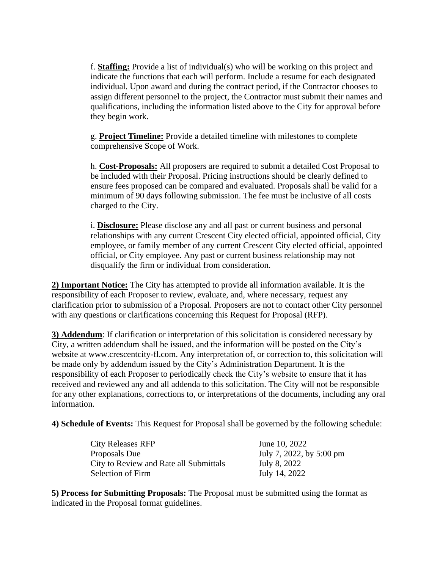f. **Staffing:** Provide a list of individual(s) who will be working on this project and indicate the functions that each will perform. Include a resume for each designated individual. Upon award and during the contract period, if the Contractor chooses to assign different personnel to the project, the Contractor must submit their names and qualifications, including the information listed above to the City for approval before they begin work.

g. **Project Timeline:** Provide a detailed timeline with milestones to complete comprehensive Scope of Work.

h. **Cost-Proposals:** All proposers are required to submit a detailed Cost Proposal to be included with their Proposal. Pricing instructions should be clearly defined to ensure fees proposed can be compared and evaluated. Proposals shall be valid for a minimum of 90 days following submission. The fee must be inclusive of all costs charged to the City.

i. **Disclosure:** Please disclose any and all past or current business and personal relationships with any current Crescent City elected official, appointed official, City employee, or family member of any current Crescent City elected official, appointed official, or City employee. Any past or current business relationship may not disqualify the firm or individual from consideration.

**2) Important Notice:** The City has attempted to provide all information available. It is the responsibility of each Proposer to review, evaluate, and, where necessary, request any clarification prior to submission of a Proposal. Proposers are not to contact other City personnel with any questions or clarifications concerning this Request for Proposal (RFP).

**3) Addendum**: If clarification or interpretation of this solicitation is considered necessary by City, a written addendum shall be issued, and the information will be posted on the City's website at www.crescentcity-fl.com. Any interpretation of, or correction to, this solicitation will be made only by addendum issued by the City's Administration Department. It is the responsibility of each Proposer to periodically check the City's website to ensure that it has received and reviewed any and all addenda to this solicitation. The City will not be responsible for any other explanations, corrections to, or interpretations of the documents, including any oral information.

**4) Schedule of Events:** This Request for Proposal shall be governed by the following schedule:

| June 10, 2022            |
|--------------------------|
| July 7, 2022, by 5:00 pm |
| July 8, 2022             |
| July 14, 2022            |
|                          |

**5) Process for Submitting Proposals:** The Proposal must be submitted using the format as indicated in the Proposal format guidelines.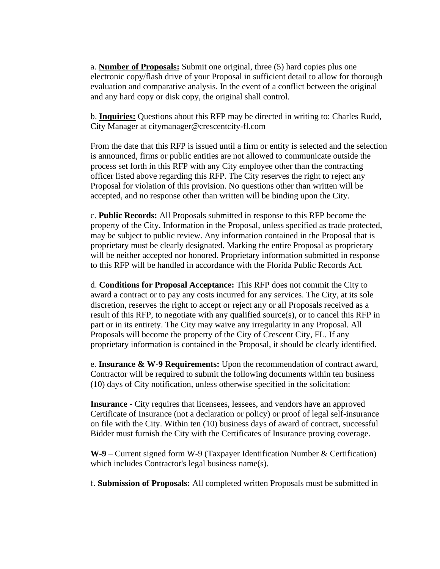a. **Number of Proposals:** Submit one original, three (5) hard copies plus one electronic copy/flash drive of your Proposal in sufficient detail to allow for thorough evaluation and comparative analysis. In the event of a conflict between the original and any hard copy or disk copy, the original shall control.

b. **Inquiries:** Questions about this RFP may be directed in writing to: Charles Rudd, City Manager at citymanager@crescentcity-fl.com

From the date that this RFP is issued until a firm or entity is selected and the selection is announced, firms or public entities are not allowed to communicate outside the process set forth in this RFP with any City employee other than the contracting officer listed above regarding this RFP. The City reserves the right to reject any Proposal for violation of this provision. No questions other than written will be accepted, and no response other than written will be binding upon the City.

c. **Public Records:** All Proposals submitted in response to this RFP become the property of the City. Information in the Proposal, unless specified as trade protected, may be subject to public review. Any information contained in the Proposal that is proprietary must be clearly designated. Marking the entire Proposal as proprietary will be neither accepted nor honored. Proprietary information submitted in response to this RFP will be handled in accordance with the Florida Public Records Act.

d. **Conditions for Proposal Acceptance:** This RFP does not commit the City to award a contract or to pay any costs incurred for any services. The City, at its sole discretion, reserves the right to accept or reject any or all Proposals received as a result of this RFP, to negotiate with any qualified source(s), or to cancel this RFP in part or in its entirety. The City may waive any irregularity in any Proposal. All Proposals will become the property of the City of Crescent City, FL. If any proprietary information is contained in the Proposal, it should be clearly identified.

e. **Insurance & W-9 Requirements:** Upon the recommendation of contract award, Contractor will be required to submit the following documents within ten business (10) days of City notification, unless otherwise specified in the solicitation:

**Insurance** - City requires that licensees, lessees, and vendors have an approved Certificate of Insurance (not a declaration or policy) or proof of legal self-insurance on file with the City. Within ten (10) business days of award of contract, successful Bidder must furnish the City with the Certificates of Insurance proving coverage.

**W-9** – Current signed form W-9 (Taxpayer Identification Number & Certification) which includes Contractor's legal business name(s).

f. **Submission of Proposals:** All completed written Proposals must be submitted in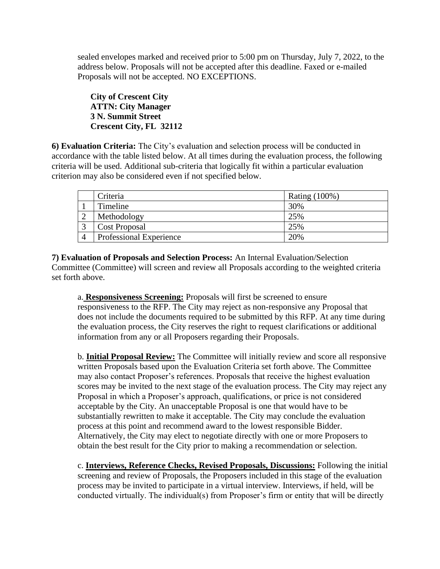sealed envelopes marked and received prior to 5:00 pm on Thursday, July 7, 2022, to the address below. Proposals will not be accepted after this deadline. Faxed or e-mailed Proposals will not be accepted. NO EXCEPTIONS.

**City of Crescent City ATTN: City Manager 3 N. Summit Street Crescent City, FL 32112**

**6) Evaluation Criteria:** The City's evaluation and selection process will be conducted in accordance with the table listed below. At all times during the evaluation process, the following criteria will be used. Additional sub-criteria that logically fit within a particular evaluation criterion may also be considered even if not specified below.

| Criteria                       | <b>Rating (100%)</b> |
|--------------------------------|----------------------|
| Timeline                       | 30%                  |
| Methodology                    | 25%                  |
| <b>Cost Proposal</b>           | 25%                  |
| <b>Professional Experience</b> | 20%                  |

**7) Evaluation of Proposals and Selection Process:** An Internal Evaluation/Selection Committee (Committee) will screen and review all Proposals according to the weighted criteria set forth above.

a. **Responsiveness Screening:** Proposals will first be screened to ensure responsiveness to the RFP. The City may reject as non-responsive any Proposal that does not include the documents required to be submitted by this RFP. At any time during the evaluation process, the City reserves the right to request clarifications or additional information from any or all Proposers regarding their Proposals.

b. **Initial Proposal Review:** The Committee will initially review and score all responsive written Proposals based upon the Evaluation Criteria set forth above. The Committee may also contact Proposer's references. Proposals that receive the highest evaluation scores may be invited to the next stage of the evaluation process. The City may reject any Proposal in which a Proposer's approach, qualifications, or price is not considered acceptable by the City. An unacceptable Proposal is one that would have to be substantially rewritten to make it acceptable. The City may conclude the evaluation process at this point and recommend award to the lowest responsible Bidder. Alternatively, the City may elect to negotiate directly with one or more Proposers to obtain the best result for the City prior to making a recommendation or selection.

c. **Interviews, Reference Checks, Revised Proposals, Discussions:** Following the initial screening and review of Proposals, the Proposers included in this stage of the evaluation process may be invited to participate in a virtual interview. Interviews, if held, will be conducted virtually. The individual(s) from Proposer's firm or entity that will be directly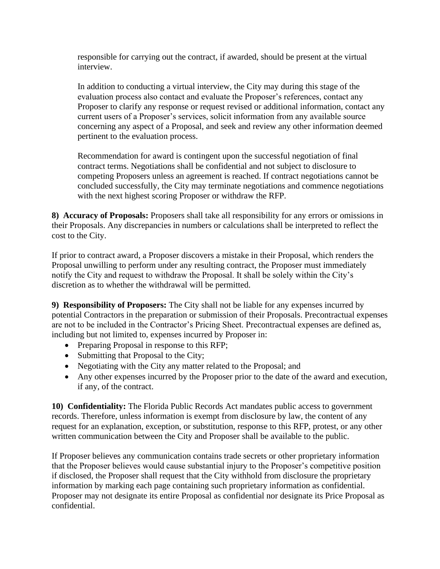responsible for carrying out the contract, if awarded, should be present at the virtual interview.

In addition to conducting a virtual interview, the City may during this stage of the evaluation process also contact and evaluate the Proposer's references, contact any Proposer to clarify any response or request revised or additional information, contact any current users of a Proposer's services, solicit information from any available source concerning any aspect of a Proposal, and seek and review any other information deemed pertinent to the evaluation process.

Recommendation for award is contingent upon the successful negotiation of final contract terms. Negotiations shall be confidential and not subject to disclosure to competing Proposers unless an agreement is reached. If contract negotiations cannot be concluded successfully, the City may terminate negotiations and commence negotiations with the next highest scoring Proposer or withdraw the RFP.

**8) Accuracy of Proposals:** Proposers shall take all responsibility for any errors or omissions in their Proposals. Any discrepancies in numbers or calculations shall be interpreted to reflect the cost to the City.

If prior to contract award, a Proposer discovers a mistake in their Proposal, which renders the Proposal unwilling to perform under any resulting contract, the Proposer must immediately notify the City and request to withdraw the Proposal. It shall be solely within the City's discretion as to whether the withdrawal will be permitted.

**9) Responsibility of Proposers:** The City shall not be liable for any expenses incurred by potential Contractors in the preparation or submission of their Proposals. Precontractual expenses are not to be included in the Contractor's Pricing Sheet. Precontractual expenses are defined as, including but not limited to, expenses incurred by Proposer in:

- Preparing Proposal in response to this RFP;
- Submitting that Proposal to the City;
- Negotiating with the City any matter related to the Proposal; and
- Any other expenses incurred by the Proposer prior to the date of the award and execution, if any, of the contract.

**10) Confidentiality:** The Florida Public Records Act mandates public access to government records. Therefore, unless information is exempt from disclosure by law, the content of any request for an explanation, exception, or substitution, response to this RFP, protest, or any other written communication between the City and Proposer shall be available to the public.

If Proposer believes any communication contains trade secrets or other proprietary information that the Proposer believes would cause substantial injury to the Proposer's competitive position if disclosed, the Proposer shall request that the City withhold from disclosure the proprietary information by marking each page containing such proprietary information as confidential. Proposer may not designate its entire Proposal as confidential nor designate its Price Proposal as confidential.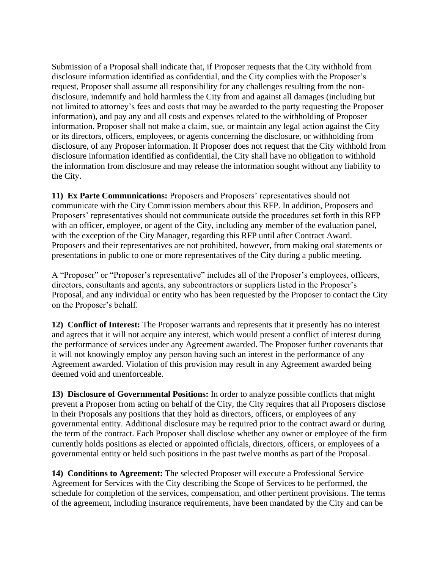Submission of a Proposal shall indicate that, if Proposer requests that the City withhold from disclosure information identified as confidential, and the City complies with the Proposer's request, Proposer shall assume all responsibility for any challenges resulting from the nondisclosure, indemnify and hold harmless the City from and against all damages (including but not limited to attorney's fees and costs that may be awarded to the party requesting the Proposer information), and pay any and all costs and expenses related to the withholding of Proposer information. Proposer shall not make a claim, sue, or maintain any legal action against the City or its directors, officers, employees, or agents concerning the disclosure, or withholding from disclosure, of any Proposer information. If Proposer does not request that the City withhold from disclosure information identified as confidential, the City shall have no obligation to withhold the information from disclosure and may release the information sought without any liability to the City.

**11) Ex Parte Communications:** Proposers and Proposers' representatives should not communicate with the City Commission members about this RFP. In addition, Proposers and Proposers' representatives should not communicate outside the procedures set forth in this RFP with an officer, employee, or agent of the City, including any member of the evaluation panel, with the exception of the City Manager, regarding this RFP until after Contract Award. Proposers and their representatives are not prohibited, however, from making oral statements or presentations in public to one or more representatives of the City during a public meeting.

A "Proposer" or "Proposer's representative" includes all of the Proposer's employees, officers, directors, consultants and agents, any subcontractors or suppliers listed in the Proposer's Proposal, and any individual or entity who has been requested by the Proposer to contact the City on the Proposer's behalf.

**12) Conflict of Interest:** The Proposer warrants and represents that it presently has no interest and agrees that it will not acquire any interest, which would present a conflict of interest during the performance of services under any Agreement awarded. The Proposer further covenants that it will not knowingly employ any person having such an interest in the performance of any Agreement awarded. Violation of this provision may result in any Agreement awarded being deemed void and unenforceable.

**13) Disclosure of Governmental Positions:** In order to analyze possible conflicts that might prevent a Proposer from acting on behalf of the City, the City requires that all Proposers disclose in their Proposals any positions that they hold as directors, officers, or employees of any governmental entity. Additional disclosure may be required prior to the contract award or during the term of the contract. Each Proposer shall disclose whether any owner or employee of the firm currently holds positions as elected or appointed officials, directors, officers, or employees of a governmental entity or held such positions in the past twelve months as part of the Proposal.

**14) Conditions to Agreement:** The selected Proposer will execute a Professional Service Agreement for Services with the City describing the Scope of Services to be performed, the schedule for completion of the services, compensation, and other pertinent provisions. The terms of the agreement, including insurance requirements, have been mandated by the City and can be